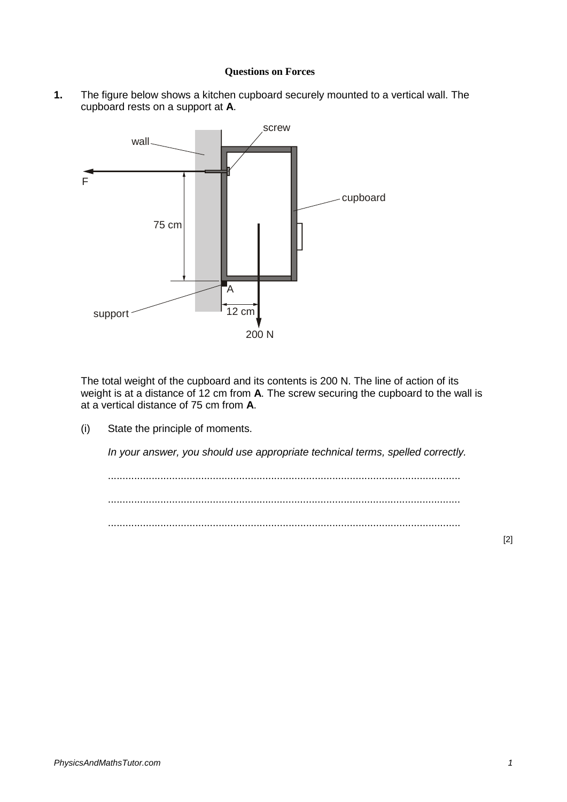## **Questions on Forces**

**1.** The figure below shows a kitchen cupboard securely mounted to a vertical wall. The cupboard rests on a support at **A**.



The total weight of the cupboard and its contents is 200 N. The line of action of its weight is at a distance of 12 cm from **A**. The screw securing the cupboard to the wall is at a vertical distance of 75 cm from **A**.

(i) State the principle of moments.

*In your answer, you should use appropriate technical terms, spelled correctly.*

......................................................................................................................... ......................................................................................................................... .........................................................................................................................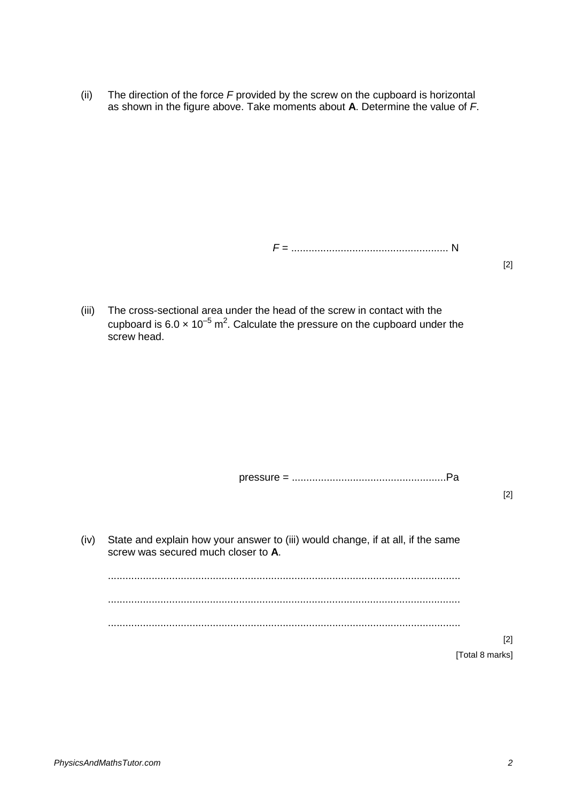(ii) The direction of the force *F* provided by the screw on the cupboard is horizontal as shown in the figure above. Take moments about **A**. Determine the value of *F*.

*F* = ...................................................... N

[2]

(iii) The cross-sectional area under the head of the screw in contact with the cupboard is 6.0  $\times$  10<sup>-5</sup> m<sup>2</sup>. Calculate the pressure on the cupboard under the screw head.

pressure = .....................................................Pa

[2]

(iv) State and explain how your answer to (iii) would change, if at all, if the same screw was secured much closer to **A**. ......................................................................................................................... ......................................................................................................................... ......................................................................................................................... [Total 8 marks]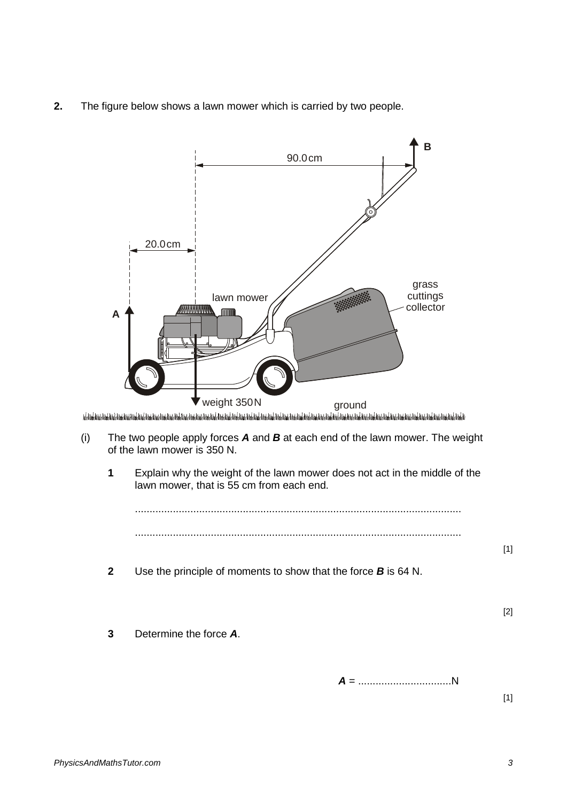**2.** The figure below shows a lawn mower which is carried by two people.

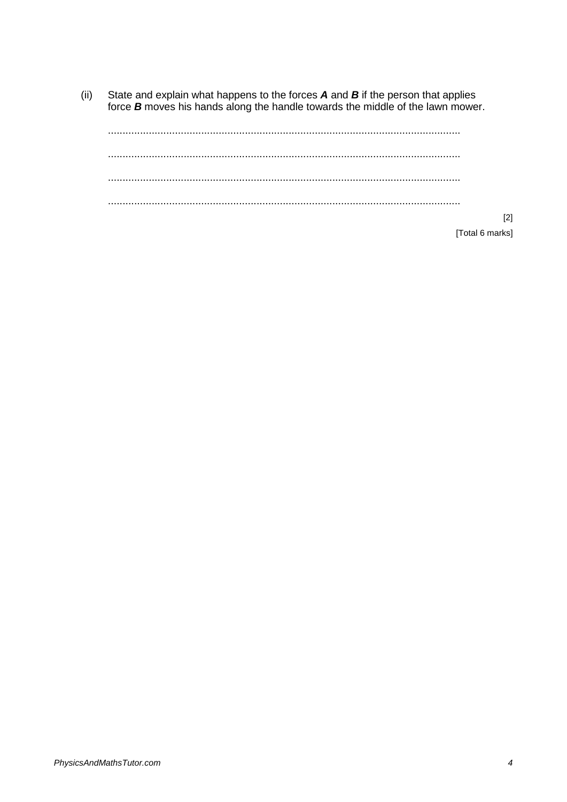State and explain what happens to the forces  $A$  and  $B$  if the person that applies force  $B$  moves his hands along the handle towards the middle of the lawn mower.  $(ii)$ 

 $[2]$ 

[Total 6 marks]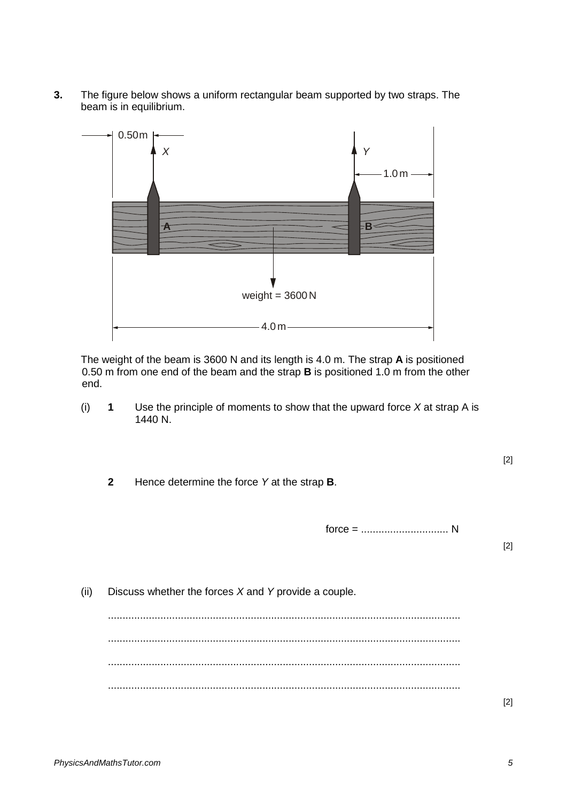**3.** The figure below shows a uniform rectangular beam supported by two straps. The beam is in equilibrium.



The weight of the beam is 3600 N and its length is 4.0 m. The strap **A** is positioned 0.50 m from one end of the beam and the strap **B** is positioned 1.0 m from the other end.

(i) **1** Use the principle of moments to show that the upward force *X* at strap A is 1440 N.

**2** Hence determine the force *Y* at the strap **B**.

force = .............................. N

[2]

[2]

(ii) Discuss whether the forces *X* and *Y* provide a couple. ......................................................................................................................... ......................................................................................................................... ......................................................................................................................... .........................................................................................................................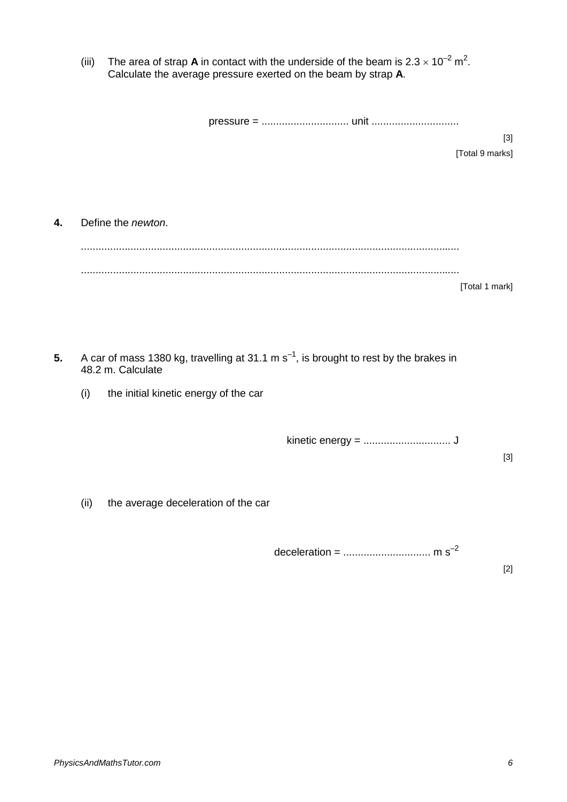(iii) The area of strap **A** in contact with the underside of the beam is  $2.3 \times 10^{-2}$  m<sup>2</sup>. Calculate the average pressure exerted on the beam by strap **A**.

|    |      |                                                                                                                 | $[3]$           |  |
|----|------|-----------------------------------------------------------------------------------------------------------------|-----------------|--|
|    |      |                                                                                                                 | [Total 9 marks] |  |
|    |      |                                                                                                                 |                 |  |
|    |      |                                                                                                                 |                 |  |
| 4. |      | Define the newton.                                                                                              |                 |  |
|    |      |                                                                                                                 |                 |  |
|    |      |                                                                                                                 |                 |  |
|    |      |                                                                                                                 | [Total 1 mark]  |  |
|    |      |                                                                                                                 |                 |  |
|    |      |                                                                                                                 |                 |  |
|    |      |                                                                                                                 |                 |  |
| 5. |      | A car of mass 1380 kg, travelling at 31.1 m $s^{-1}$ , is brought to rest by the brakes in<br>48.2 m. Calculate |                 |  |
|    | (i)  | the initial kinetic energy of the car                                                                           |                 |  |
|    |      |                                                                                                                 |                 |  |
|    |      |                                                                                                                 |                 |  |
|    |      |                                                                                                                 |                 |  |
|    |      |                                                                                                                 | $[3]$           |  |
|    |      |                                                                                                                 |                 |  |
|    | (ii) | the average deceleration of the car                                                                             |                 |  |
|    |      |                                                                                                                 |                 |  |
|    |      |                                                                                                                 |                 |  |

deceleration = .............................. m s–2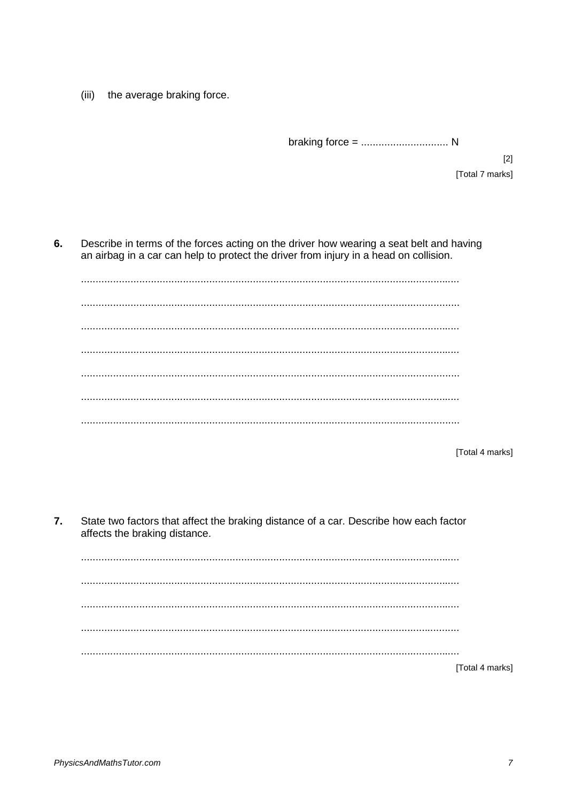the average braking force.  $(iii)$ 

 $[2]$ [Total 7 marks]

6. Describe in terms of the forces acting on the driver how wearing a seat belt and having an airbag in a car can help to protect the driver from injury in a head on collision.

[Total 4 marks]

 $\overline{7}$ . State two factors that affect the braking distance of a car. Describe how each factor affects the braking distance.

[Total 4 marks]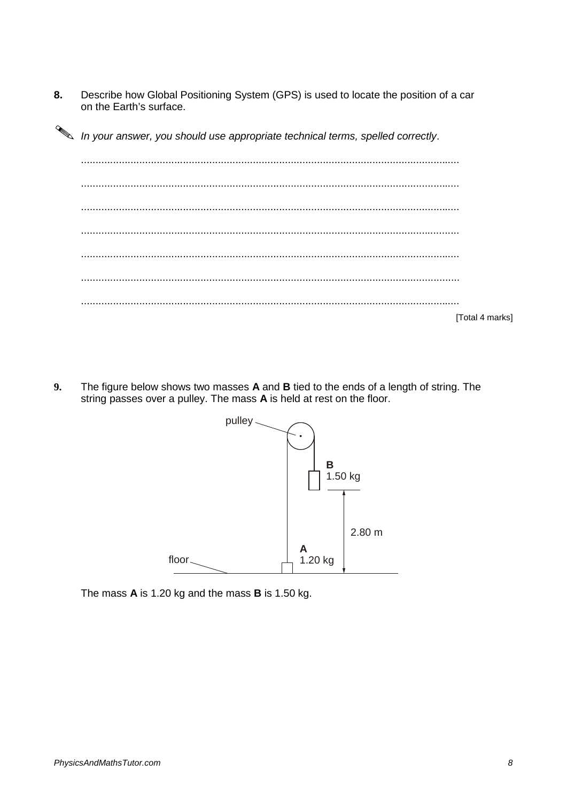8. Describe how Global Positioning System (GPS) is used to locate the position of a car on the Earth's surface.

In your answer, you should use appropriate technical terms, spelled correctly.

| [Total 4 marks] |
|-----------------|

9. The figure below shows two masses A and B tied to the ends of a length of string. The string passes over a pulley. The mass A is held at rest on the floor.



The mass A is 1.20 kg and the mass B is 1.50 kg.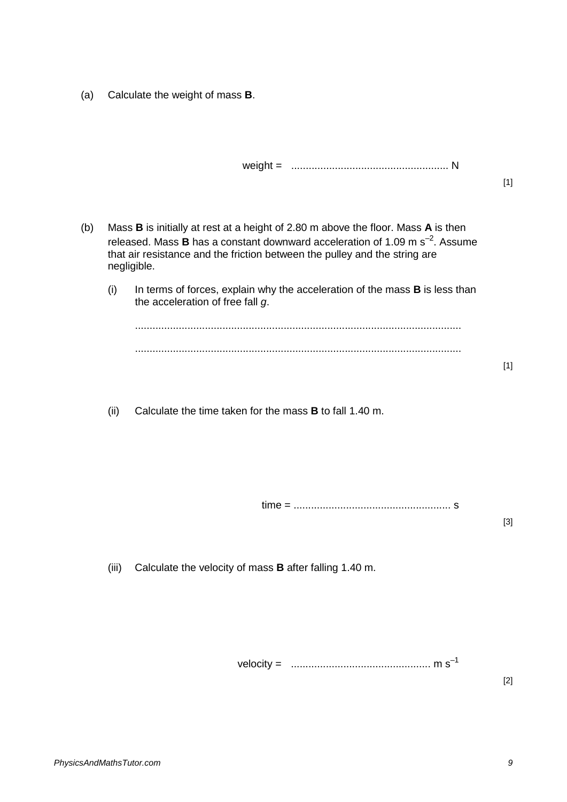(a) Calculate the weight of mass **B**.

[1]

- (b) Mass **B** is initially at rest at a height of 2.80 m above the floor. Mass **A** is then released. Mass **B** has a constant downward acceleration of 1.09 m  $s^{-2}$ . Assume that air resistance and the friction between the pulley and the string are negligible.
	- (i) In terms of forces, explain why the acceleration of the mass **B** is less than the acceleration of free fall *g*.

(ii) Calculate the time taken for the mass **B** to fall 1.40 m.

time = ...................................................... s

[3]

[1]

(iii) Calculate the velocity of mass **B** after falling 1.40 m.

velocity = ................................................ m s–1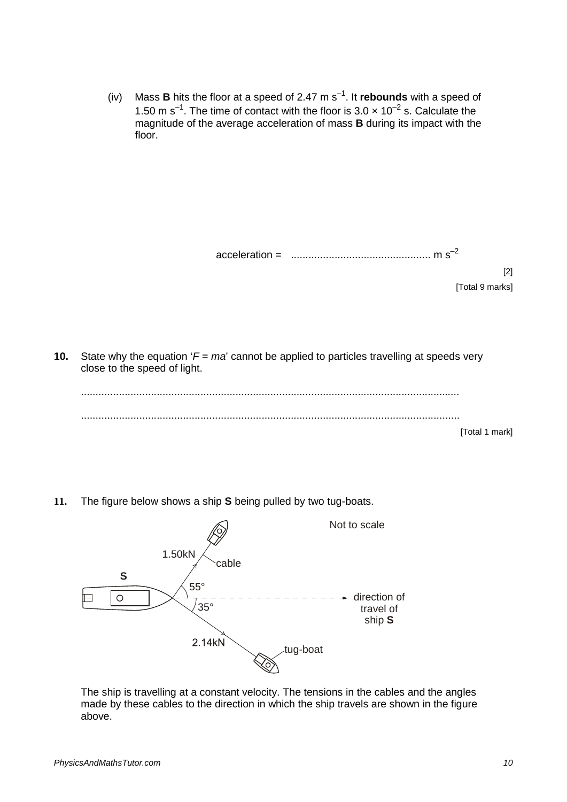(iv) Mass **B** hits the floor at a speed of 2.47 m  $s^{-1}$ . It **rebounds** with a speed of 1.50 m s<sup>-1</sup>. The time of contact with the floor is 3.0  $\times$  10<sup>-2</sup> s. Calculate the magnitude of the average acceleration of mass **B** during its impact with the floor.

acceleration = ................................................ m s–2

[2] [Total 9 marks]

**10.** State why the equation '*F* = *ma*' cannot be applied to particles travelling at speeds very close to the speed of light.

.................................................................................................................................. .................................................................................................................................. [Total 1 mark]

**11.** The figure below shows a ship **S** being pulled by two tug-boats.



The ship is travelling at a constant velocity. The tensions in the cables and the angles made by these cables to the direction in which the ship travels are shown in the figure above.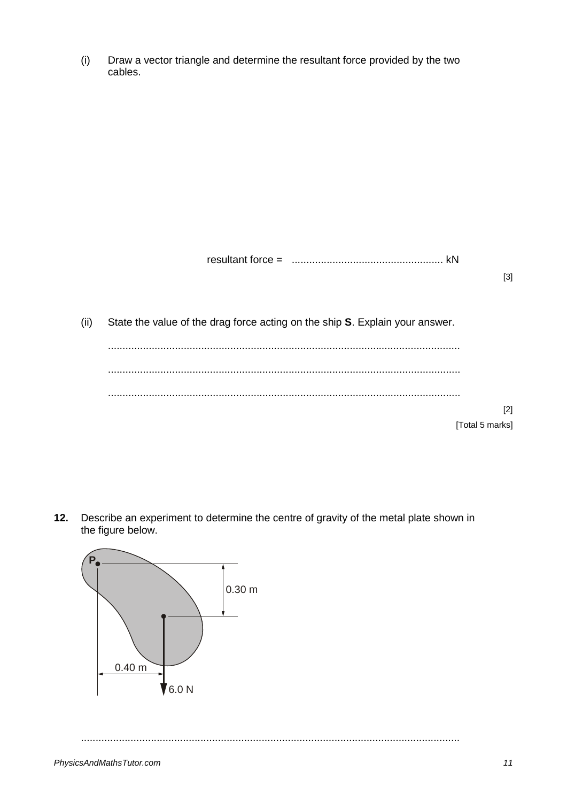(i) Draw a vector triangle and determine the resultant force provided by the two cables.

resultant force = .................................................... kN

[3]

[2]

(ii) State the value of the drag force acting on the ship **S**. Explain your answer.

[Total 5 marks]

**12.** Describe an experiment to determine the centre of gravity of the metal plate shown in the figure below.



..................................................................................................................................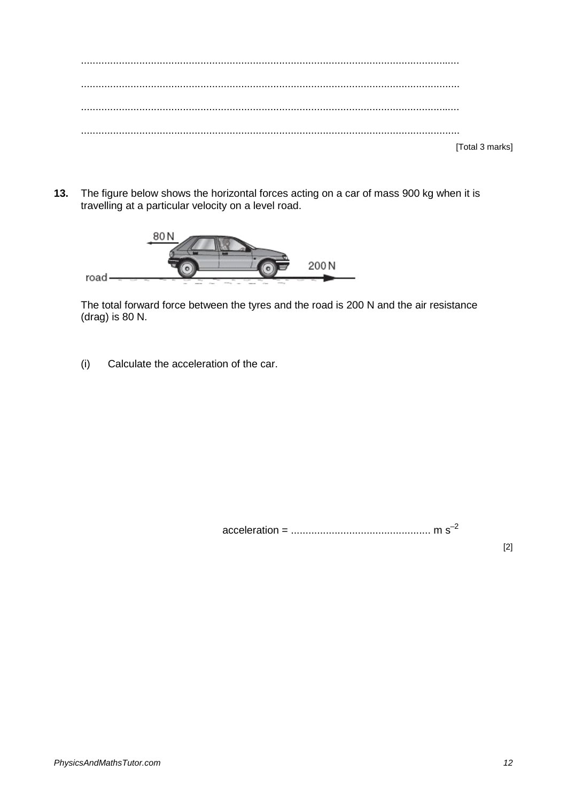| [Total 3 marks] |
|-----------------|

**13.** The figure below shows the horizontal forces acting on a car of mass 900 kg when it is travelling at a particular velocity on a level road.



The total forward force between the tyres and the road is 200 N and the air resistance (drag) is 80 N.

(i) Calculate the acceleration of the car.

acceleration = ................................................ m s–2